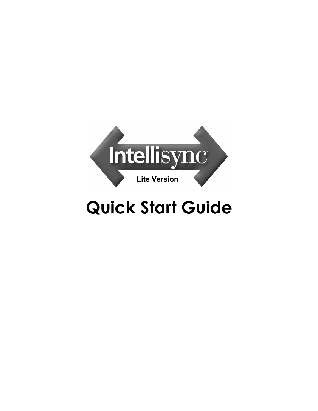

# **Quick Start Guide**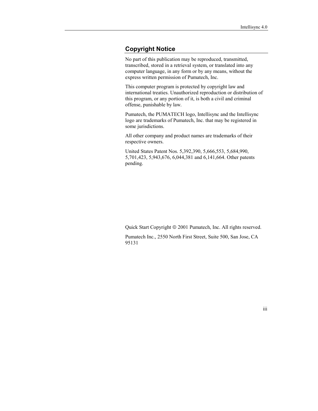#### **Copyright Notice**

No part of this publication may be reproduced, transmitted, transcribed, stored in a retrieval system, or translated into any computer language, in any form or by any means, without the express written permission of Pumatech, Inc.

This computer program is protected by copyright law and international treaties. Unauthorized reproduction or distribution of this program, or any portion of it, is both a civil and criminal offense, punishable by law.

Pumatech, the PUMATECH logo, Intellisync and the Intellisync logo are trademarks of Pumatech, Inc. that may be registered in some jurisdictions.

All other company and product names are trademarks of their respective owners.

United States Patent Nos. 5,392,390, 5,666,553, 5,684,990, 5,701,423, 5,943,676, 6,044,381 and 6,141,664. Other patents pending.

Quick Start Copyright  $\odot$  2001 Pumatech, Inc. All rights reserved.

Pumatech Inc., 2550 North First Street, Suite 500, San Jose, CA 95131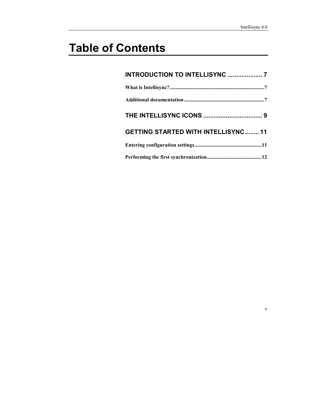v

# **Table of Contents**

| <b>INTRODUCTION TO INTELLISYNC  7</b>      |
|--------------------------------------------|
|                                            |
|                                            |
|                                            |
| <b>GETTING STARTED WITH INTELLISYNC 11</b> |
|                                            |
|                                            |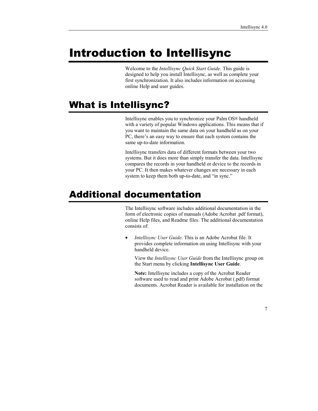## <span id="page-6-0"></span>Introduction to Intellisync

Welcome to the *Intellisync Quick Start Guide*. This guide is designed to help you install Intellisync, as well as complete your first synchronization. It also includes information on accessing online Help and user guides.

### What is Intellisync?

Intellisync enables you to synchronize your Palm OS® handheld with a variety of popular Windows applications. This means that if you want to maintain the same data on your handheld as on your PC, there's an easy way to ensure that each system contains the same up-to-date information.

Intellisync transfers data of different formats between your two systems. But it does more than simply transfer the data. Intellisync compares the records in your handheld or device to the records in your PC. It then makes whatever changes are necessary in each system to keep them both up-to-date, and "in sync."

#### Additional documentation

The Intellisync software includes additional documentation in the form of electronic copies of manuals (Adobe Acrobat .pdf format), online Help files, and Readme files. The additional documentation consists of:

• *Intellisync User Guide*. This is an Adobe Acrobat file. It provides complete information on using Intellisync with your handheld device.

View the *Intellisync User Guide* from the Intellisync group on the Start menu by clicking **Intellisync User Guide**.

**Note:** Intellisync includes a copy of the Acrobat Reader software used to read and print Adobe Acrobat (.pdf) format documents. Acrobat Reader is available for installation on the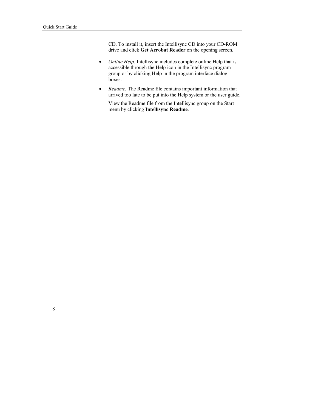CD. To install it, insert the Intellisync CD into your CD-ROM drive and click **Get Acrobat Reader** on the opening screen.

- *Online Help.* Intellisync includes complete online Help that is accessible through the Help icon in the Intellisync program group or by clicking Help in the program interface dialog boxes.
- *Readme.* The Readme file contains important information that arrived too late to be put into the Help system or the user guide.

View the Readme file from the Intellisync group on the Start menu by clicking **Intellisync Readme**.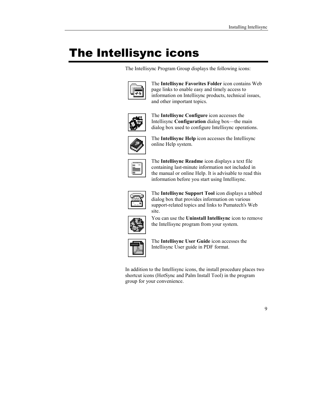## The Intellisync icons

The Intellisync Program Group displays the following icons:



The **Intellisync Favorites Folder** icon contains Web page links to enable easy and timely access to information on Intellisync products, technical issues, and other important topics.



The **Intellisync Configure** icon accesses the Intellisync **Configuration** dialog box—the main dialog box used to configure Intellisync operations.



The **Intellisync Help** icon accesses the Intellisync online Help system.



The **Intellisync Readme** icon displays a text file containing last-minute information not included in the manual or online Help. It is advisable to read this information before you start using Intellisync.



The **Intellisync Support Tool** icon displays a tabbed dialog box that provides information on various support-related topics and links to Pumatech's Web site.



You can use the **Uninstall Intellisync** icon to remove the Intellisync program from your system.



The **Intellisync User Guide** icon accesses the Intellisync User guide in PDF format.

In addition to the Intellisync icons, the install procedure places two shortcut icons (HotSync and Palm Install Tool) in the program group for your convenience.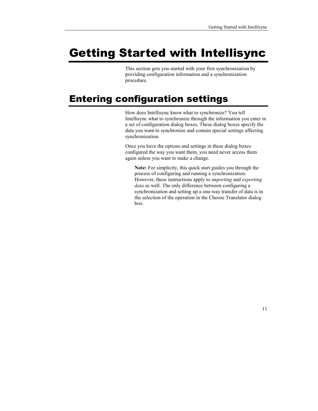# Getting Started with Intellisync

This section gets you started with your first synchronization by providing configuration information and a synchronization procedure.

### Entering configuration settings

How does Intellisync know what to synchronize? You tell Intellisync what to synchronize through the information you enter in a set of configuration dialog boxes. These dialog boxes specify the data you want to synchronize and contain special settings affecting synchronization.

Once you have the options and settings in these dialog boxes configured the way you want them, you need never access them again unless you want to make a change.

**Note:** For simplicity, this quick start guides you through the process of configuring and running a synchronization. However, these instructions apply to *importing* and *exporting data* as well. The only difference between configuring a synchronization and setting up a one-way transfer of data is in the selection of the operation in the Choose Translator dialog box.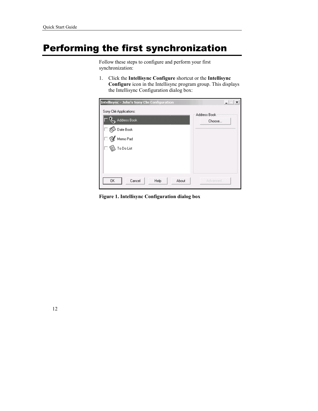### Performing the first synchronization

Follow these steps to configure and perform your first synchronization:

1. Click the **Intellisync Configure** shortcut or the **Intellisync Configure** icon in the Intellisync program group. This displays the Intellisync Configuration dialog box:

| <b>Intellisync - John's Sony Clie Configuration</b> | ×            |
|-----------------------------------------------------|--------------|
| Sony Clié Applications:                             | Address Book |
| Address Book                                        | Choose       |
| Date Book                                           |              |
| Memo Pad                                            |              |
| .<br>To Do List                                     |              |
|                                                     |              |
|                                                     |              |
| OK<br>Cancel<br>About<br>Help                       | Advanced     |

**Figure 1. Intellisync Configuration dialog box**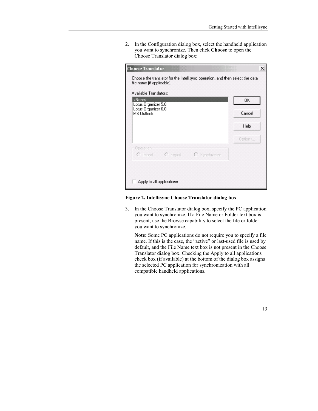2. In the Configuration dialog box, select the handheld application you want to synchronize. Then click **Choose** to open the Choose Translator dialog box:

| <b>Choose Translator</b>                                                                                    | ×       |
|-------------------------------------------------------------------------------------------------------------|---------|
| Choose the translator for the Intellisync operation, and then select the data<br>file name (if applicable). |         |
| Available Translators:                                                                                      |         |
| <none><br/>Lotus Organizer 5.0<br/>Lotus Organizer 6.0</none>                                               | 0K      |
| MS Outlook                                                                                                  | Cancel  |
|                                                                                                             | Help    |
|                                                                                                             | Options |
| Operation-                                                                                                  |         |
| $C$ Export<br>C Import<br>C Synchronize                                                                     |         |
|                                                                                                             |         |
|                                                                                                             |         |
| Apply to all applications                                                                                   |         |

**Figure 2. Intellisync Choose Translator dialog box** 

3. In the Choose Translator dialog box, specify the PC application you want to synchronize. If a File Name or Folder text box is present, use the Browse capability to select the file or folder you want to synchronize.

**Note:** Some PC applications do not require you to specify a file name. If this is the case, the "active" or last-used file is used by default, and the File Name text box is not present in the Choose Translator dialog box. Checking the Apply to all applications check box (if available) at the bottom of the dialog box assigns the selected PC application for synchronization with all compatible handheld applications.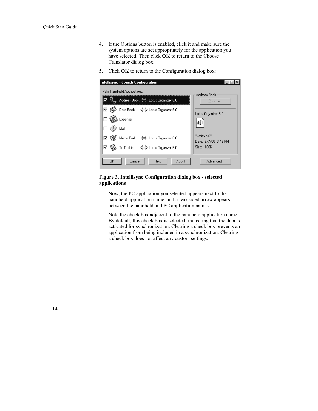- 4. If the Options button is enabled, click it and make sure the system options are set appropriately for the application you have selected. Then click **OK** to return to the Choose Translator dialog box.
- 5. Click **OK** to return to the Configuration dialog box:

| Intellisync - JSmith Configuration    |                                      |
|---------------------------------------|--------------------------------------|
| Palm handheld Applications:           | Address Book                         |
| Address Book <>>> Lotus Organizer 6.0 | Choose                               |
| Date Book < Dotus Organizer 6.0<br>⊽  | Lotus Organizer 6.0                  |
| Expense                               |                                      |
| Mail                                  |                                      |
| Memo Pad < C Lotus Organizer 6.0      | "jsmith.or6"<br>Date: 8/7/00 3:43 PM |
| To Do List $\iff$ Lotus Organizer 6.0 | Size: 180K                           |
| OK.<br>Cancel<br>Help<br>About        | Advanced                             |

#### **Figure 3. Intellisync Configuration dialog box - selected applications**

Now, the PC application you selected appears next to the handheld application name, and a two-sided arrow appears between the handheld and PC application names.

Note the check box adjacent to the handheld application name. By default, this check box is selected, indicating that the data is activated for synchronization. Clearing a check box prevents an application from being included in a synchronization. Clearing a check box does not affect any custom settings.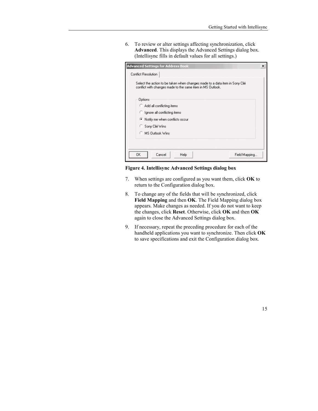6. To review or alter settings affecting synchronization, click **Advanced**. This displays the Advanced Settings dialog box. (Intellisync fills in default values for all settings.)

| <b>Advanced Settings for Address Book</b>                                                                                                 | × |
|-------------------------------------------------------------------------------------------------------------------------------------------|---|
| <b>Conflict Resolution</b>                                                                                                                |   |
| Select the action to be taken when changes made to a data item in Sony Clié<br>conflict with changes made to the same item in MS Outlook. |   |
| Options                                                                                                                                   |   |
| Add all conflicting items                                                                                                                 |   |
| C Ignore all conflicting items                                                                                                            |   |
| ● Notify me when conflicts occur                                                                                                          |   |
| Sony Clié Wins                                                                                                                            |   |
| <b>C</b> MS Dutlook Wins                                                                                                                  |   |
|                                                                                                                                           |   |
| 0K<br>Cancel<br>Field Mapping<br>Help                                                                                                     |   |

#### **Figure 4. Intellisync Advanced Settings dialog box**

- 7. When settings are configured as you want them, click **OK** to return to the Configuration dialog box.
- 8. To change any of the fields that will be synchronized, click **Field Mapping** and then **OK**. The Field Mapping dialog box appears. Make changes as needed. If you do not want to keep the changes, click **Reset**. Otherwise, click **OK** and then **OK** again to close the Advanced Settings dialog box.
- 9. If necessary, repeat the preceding procedure for each of the handheld applications you want to synchronize. Then click **OK** to save specifications and exit the Configuration dialog box.